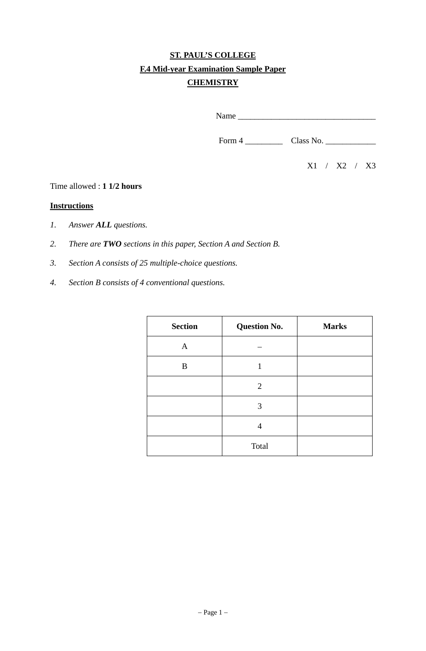# **ST. PAUL'S COLLEGE F.4 Mid-year Examination Sample Paper CHEMISTRY**

Name \_\_\_\_\_\_\_\_\_\_\_\_\_\_\_\_\_\_\_\_\_\_\_\_\_\_\_\_\_\_\_\_\_

Form 4 \_\_\_\_\_\_\_\_\_ Class No. \_\_\_\_\_\_\_\_\_\_\_\_

X1 / X2 / X3

#### Time allowed : **1 1/2 hours**

#### **Instructions**

- *1. Answer ALL questions.*
- *2. There are TWO sections in this paper, Section A and Section B.*
- *3. Section A consists of 25 multiple-choice questions.*
- *4. Section B consists of 4 conventional questions.*

| <b>Section</b> | <b>Question No.</b> | <b>Marks</b> |
|----------------|---------------------|--------------|
| A              |                     |              |
| B              | 1                   |              |
|                | 2                   |              |
|                | 3                   |              |
|                | 4                   |              |
|                | Total               |              |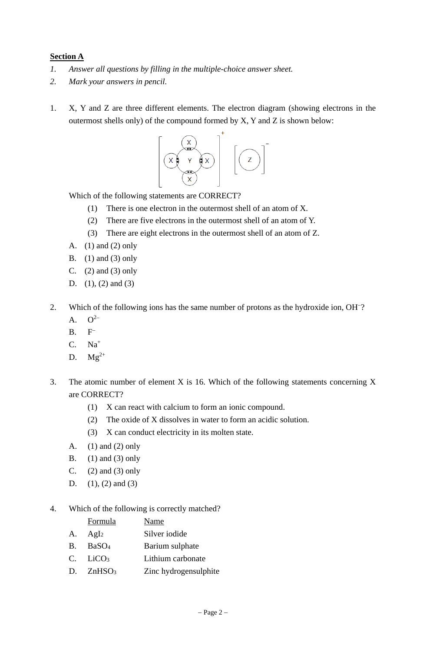### **Section A**

- *1. Answer all questions by filling in the multiple-choice answer sheet.*
- *2. Mark your answers in pencil.*
- 1. X, Y and Z are three different elements. The electron diagram (showing electrons in the outermost shells only) of the compound formed by X, Y and Z is shown below:



Which of the following statements are CORRECT?

- (1) There is one electron in the outermost shell of an atom of X.
- (2) There are five electrons in the outermost shell of an atom of Y.
- (3) There are eight electrons in the outermost shell of an atom of Z.
- A. (1) and (2) only
- B.  $(1)$  and  $(3)$  only
- C.  $(2)$  and  $(3)$  only
- D. (1), (2) and (3)
- 2. Which of the following ions has the same number of protons as the hydroxide ion, OH<sup>-2</sup>.
	- A.  $Q^{2-}$
	- $B. F^-$
	- C. Na<sup>+</sup>
	- D.  $Mg^{2+}$
- 3. The atomic number of element X is 16. Which of the following statements concerning X are CORRECT?
	- (1) X can react with calcium to form an ionic compound.
	- (2) The oxide of X dissolves in water to form an acidic solution.
	- (3) X can conduct electricity in its molten state.
	- A. (1) and (2) only
	- B. (1) and (3) only
	- C.  $(2)$  and  $(3)$  only
	- D. (1), (2) and (3)

#### 4. Which of the following is correctly matched?

|             | Formula                   | Name              |
|-------------|---------------------------|-------------------|
| A.          | AgI <sub>2</sub>          | Silver iodide     |
| $B_{\cdot}$ | BaSO <sub>4</sub>         | Barium sulphate   |
|             | $C_{a}$ LiCO <sub>3</sub> | Lithium carbonate |
|             |                           |                   |

D. ZnHSO<sub>3</sub> Zinc hydrogensulphite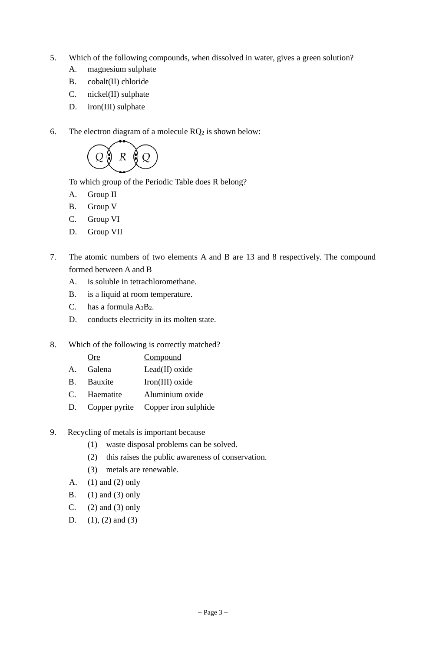- 5. Which of the following compounds, when dissolved in water, gives a green solution?
	- A. magnesium sulphate
	- B. cobalt(II) chloride
	- C. nickel(II) sulphate
	- D. iron(III) sulphate
- 6. The electron diagram of a molecule  $RQ_2$  is shown below:



To which group of the Periodic Table does R belong?

- A. Group II
- B. Group V
- C. Group VI
- D. Group VII
- 7. The atomic numbers of two elements A and B are 13 and 8 respectively. The compound formed between A and B
	- A. is soluble in tetrachloromethane.
	- B. is a liquid at room temperature.
	- C. has a formula A3B2.
	- D. conducts electricity in its molten state.
- 8. Which of the following is correctly matched?
	- Ore Compound A. Galena Lead(II) oxide
	- B. Bauxite Iron(III) oxide
	- C. Haematite Aluminium oxide
	- D. Copper pyrite Copper iron sulphide
- 9. Recycling of metals is important because
	- (1) waste disposal problems can be solved.
	- (2) this raises the public awareness of conservation.
	- (3) metals are renewable.
	- A. (1) and (2) only
	- B.  $(1)$  and  $(3)$  only
	- C.  $(2)$  and  $(3)$  only
	- D.  $(1)$ ,  $(2)$  and  $(3)$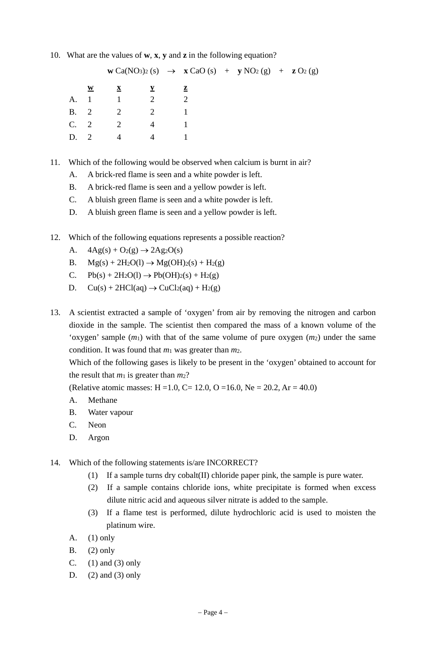10. What are the values of **w**, **x**, **y** and **z** in the following equation?

|             |                                       |              |                | $w Ca(NO_3)_2 (s) \rightarrow x CaO (s) + y NO_2 (g) + z O_2 (g)$ |  |  |
|-------------|---------------------------------------|--------------|----------------|-------------------------------------------------------------------|--|--|
|             | W                                     | $\mathbf{X}$ |                | $\mathbf{z}$                                                      |  |  |
| A.          | $\begin{array}{c} \hline \end{array}$ | $1 \quad 2$  |                | $\mathcal{D}_{\mathcal{L}}$                                       |  |  |
| <b>B.</b> 2 |                                       | 2            | 2              |                                                                   |  |  |
| C. 2        |                                       | 2            | $\overline{4}$ |                                                                   |  |  |
| D.          |                                       | 4            | 4              |                                                                   |  |  |
|             |                                       |              |                |                                                                   |  |  |

- 11. Which of the following would be observed when calcium is burnt in air?
	- A. A brick-red flame is seen and a white powder is left.
	- B. A brick-red flame is seen and a yellow powder is left.
	- C. A bluish green flame is seen and a white powder is left.
	- D. A bluish green flame is seen and a yellow powder is left.
- 12. Which of the following equations represents a possible reaction?
	- A.  $4Ag(s) + O_2(g) \rightarrow 2Ag_2O(s)$
	- B.  $Mg(s) + 2H_2O(l) \rightarrow Mg(OH)_2(s) + H_2(g)$
	- C.  $Pb(s) + 2H_2O(l) \rightarrow Pb(OH)_2(s) + H_2(g)$
	- D.  $Cu(s) + 2HCl(aq) \rightarrow CuCl<sub>2</sub>(aq) + H<sub>2</sub>(g)$
- 13. A scientist extracted a sample of 'oxygen' from air by removing the nitrogen and carbon dioxide in the sample. The scientist then compared the mass of a known volume of the 'oxygen' sample (*m*1) with that of the same volume of pure oxygen (*m*2) under the same condition. It was found that *m*1 was greater than *m*2.

 Which of the following gases is likely to be present in the 'oxygen' obtained to account for the result that  $m_1$  is greater than  $m_2$ ?

(Relative atomic masses: H = 1.0, C = 12.0, O = 16.0, Ne = 20.2, Ar = 40.0)

- A. Methane
- B. Water vapour
- C. Neon
- D. Argon
- 14. Which of the following statements is/are INCORRECT?
	- (1) If a sample turns dry cobalt(II) chloride paper pink, the sample is pure water.
	- (2) If a sample contains chloride ions, white precipitate is formed when excess dilute nitric acid and aqueous silver nitrate is added to the sample.
	- (3) If a flame test is performed, dilute hydrochloric acid is used to moisten the platinum wire.
	- A.  $(1)$  only
	- B. (2) only
	- C.  $(1)$  and  $(3)$  only
	- D.  $(2)$  and  $(3)$  only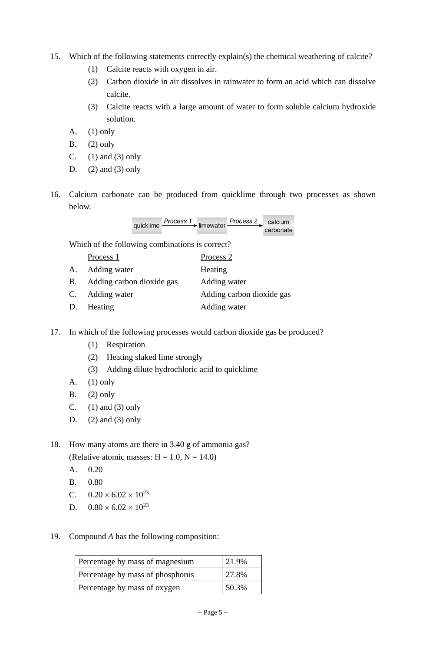- 15. Which of the following statements correctly explain(s) the chemical weathering of calcite?
	- (1) Calcite reacts with oxygen in air.
	- (2) Carbon dioxide in air dissolves in rainwater to form an acid which can dissolve calcite.
	- (3) Calcite reacts with a large amount of water to form soluble calcium hydroxide solution.
	- A. (1) only
	- B. (2) only
	- C.  $(1)$  and  $(3)$  only
	- D.  $(2)$  and  $(3)$  only
- 16. Calcium carbonate can be produced from quicklime through two processes as shown below.

| quicklime - | $\frac{Process 1}{\longrightarrow}$ limewater $\frac{Process 2}{\longrightarrow}$ calcium |  |           |  |
|-------------|-------------------------------------------------------------------------------------------|--|-----------|--|
|             |                                                                                           |  | carbonate |  |

Which of the following combinations is correct?

| Process | Process <sub>2</sub> |
|---------|----------------------|
|---------|----------------------|

- A. Adding water **Heating**
- B. Adding carbon dioxide gas Adding water
- C. Adding water Adding carbon dioxide gas
- D. Heating **Adding water**
- 17. In which of the following processes would carbon dioxide gas be produced?
	- (1) Respiration
	- (2) Heating slaked lime strongly
	- (3) Adding dilute hydrochloric acid to quicklime
	- A. (1) only
	- B. (2) only
	- C.  $(1)$  and  $(3)$  only
	- D.  $(2)$  and  $(3)$  only
- 18. How many atoms are there in 3.40 g of ammonia gas? (Relative atomic masses:  $H = 1.0$ ,  $N = 14.0$ )
	- A. 0.20
	- B. 0.80
	- C.  $0.20 \times 6.02 \times 10^{23}$
	- D.  $0.80 \times 6.02 \times 10^{23}$
- 19. Compound *A* has the following composition:

| Percentage by mass of magnesium  | 21.9% |
|----------------------------------|-------|
| Percentage by mass of phosphorus | 27.8% |
| Percentage by mass of oxygen     | 50.3% |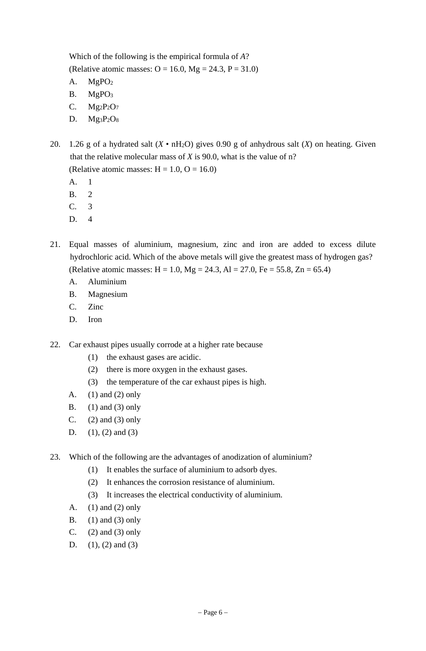Which of the following is the empirical formula of *A*? (Relative atomic masses:  $O = 16.0$ , Mg = 24.3, P = 31.0)

- A. MgPO2
- B. MgPO<sub>3</sub>
- C. Mg2P2O7
- D. Mg3P2O8

20. 1.26 g of a hydrated salt  $(X \cdot nH_2O)$  gives 0.90 g of anhydrous salt  $(X)$  on heating. Given that the relative molecular mass of *X* is 90.0, what is the value of n? (Relative atomic masses:  $H = 1.0$ ,  $O = 16.0$ )

A. 1

- B. 2
- C. 3
- D. 4
- 21. Equal masses of aluminium, magnesium, zinc and iron are added to excess dilute hydrochloric acid. Which of the above metals will give the greatest mass of hydrogen gas? (Relative atomic masses:  $H = 1.0$ ,  $Mg = 24.3$ ,  $Al = 27.0$ ,  $Fe = 55.8$ ,  $Zn = 65.4$ )
	- A. Aluminium
	- B. Magnesium
	- C. Zinc
	- D. Iron
- 22. Car exhaust pipes usually corrode at a higher rate because
	- (1) the exhaust gases are acidic.
	- (2) there is more oxygen in the exhaust gases.
	- (3) the temperature of the car exhaust pipes is high.
	- A. (1) and (2) only
	- B. (1) and (3) only
	- C.  $(2)$  and  $(3)$  only
	- D.  $(1), (2)$  and  $(3)$
- 23. Which of the following are the advantages of anodization of aluminium?
	- (1) It enables the surface of aluminium to adsorb dyes.
	- (2) It enhances the corrosion resistance of aluminium.
	- (3) It increases the electrical conductivity of aluminium.
	- A. (1) and (2) only
	- B. (1) and (3) only
	- C. (2) and (3) only
	- D.  $(1), (2)$  and  $(3)$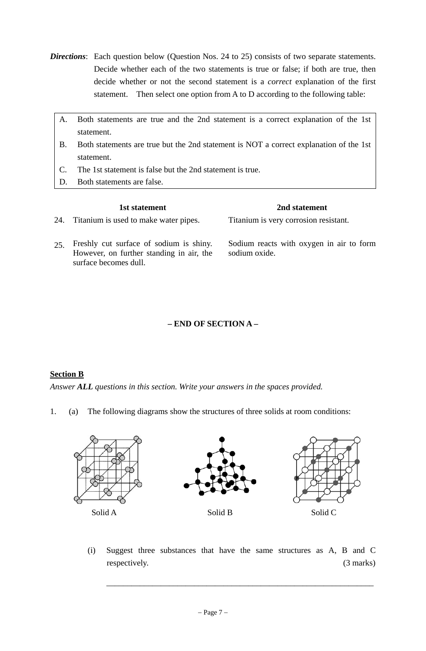- **Directions**: Each question below (Question Nos. 24 to 25) consists of two separate statements. Decide whether each of the two statements is true or false; if both are true, then decide whether or not the second statement is a *correct* explanation of the first statement. Then select one option from A to D according to the following table:
	- A. Both statements are true and the 2nd statement is a correct explanation of the 1st statement.
	- B. Both statements are true but the 2nd statement is NOT a correct explanation of the 1st statement.
	- C. The 1st statement is false but the 2nd statement is true.
	- D. Both statements are false.

|     | 1st statement                                                                                                | 2nd statement                                             |
|-----|--------------------------------------------------------------------------------------------------------------|-----------------------------------------------------------|
| 24. | Titanium is used to make water pipes.                                                                        | Titanium is very corrosion resistant.                     |
| 25  | Freshly cut surface of sodium is shiny.<br>However, on further standing in air, the<br>surface becomes dull. | Sodium reacts with oxygen in air to form<br>sodium oxide. |

## **– END OF SECTION A –**

#### **Section B**

*Answer ALL questions in this section. Write your answers in the spaces provided.* 

1. (a) The following diagrams show the structures of three solids at room conditions:



 (i) Suggest three substances that have the same structures as A, B and C respectively. (3 marks)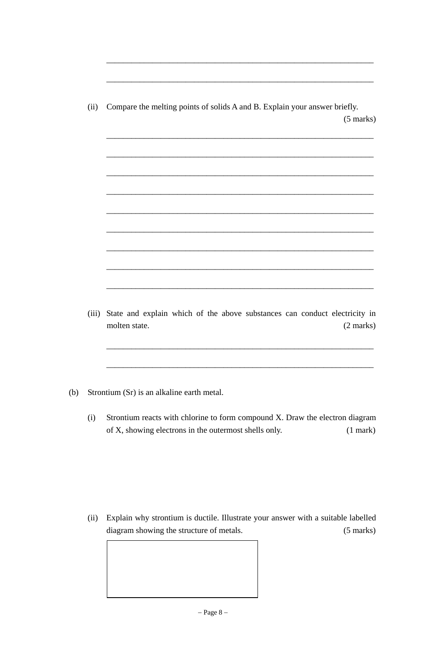(ii) Compare the melting points of solids A and B. Explain your answer briefly. (5 marks)  $\overline{\phantom{a}}$  ,  $\overline{\phantom{a}}$  ,  $\overline{\phantom{a}}$  ,  $\overline{\phantom{a}}$  ,  $\overline{\phantom{a}}$  ,  $\overline{\phantom{a}}$  ,  $\overline{\phantom{a}}$  ,  $\overline{\phantom{a}}$  ,  $\overline{\phantom{a}}$  ,  $\overline{\phantom{a}}$  ,  $\overline{\phantom{a}}$  ,  $\overline{\phantom{a}}$  ,  $\overline{\phantom{a}}$  ,  $\overline{\phantom{a}}$  ,  $\overline{\phantom{a}}$  ,  $\overline{\phantom{a}}$  $\overline{\phantom{a}}$  ,  $\overline{\phantom{a}}$  ,  $\overline{\phantom{a}}$  ,  $\overline{\phantom{a}}$  ,  $\overline{\phantom{a}}$  ,  $\overline{\phantom{a}}$  ,  $\overline{\phantom{a}}$  ,  $\overline{\phantom{a}}$  ,  $\overline{\phantom{a}}$  ,  $\overline{\phantom{a}}$  ,  $\overline{\phantom{a}}$  ,  $\overline{\phantom{a}}$  ,  $\overline{\phantom{a}}$  ,  $\overline{\phantom{a}}$  ,  $\overline{\phantom{a}}$  ,  $\overline{\phantom{a}}$  $\overline{\phantom{a}}$  ,  $\overline{\phantom{a}}$  ,  $\overline{\phantom{a}}$  ,  $\overline{\phantom{a}}$  ,  $\overline{\phantom{a}}$  ,  $\overline{\phantom{a}}$  ,  $\overline{\phantom{a}}$  ,  $\overline{\phantom{a}}$  ,  $\overline{\phantom{a}}$  ,  $\overline{\phantom{a}}$  ,  $\overline{\phantom{a}}$  ,  $\overline{\phantom{a}}$  ,  $\overline{\phantom{a}}$  ,  $\overline{\phantom{a}}$  ,  $\overline{\phantom{a}}$  ,  $\overline{\phantom{a}}$  $\overline{\phantom{a}}$  ,  $\overline{\phantom{a}}$  ,  $\overline{\phantom{a}}$  ,  $\overline{\phantom{a}}$  ,  $\overline{\phantom{a}}$  ,  $\overline{\phantom{a}}$  ,  $\overline{\phantom{a}}$  ,  $\overline{\phantom{a}}$  ,  $\overline{\phantom{a}}$  ,  $\overline{\phantom{a}}$  ,  $\overline{\phantom{a}}$  ,  $\overline{\phantom{a}}$  ,  $\overline{\phantom{a}}$  ,  $\overline{\phantom{a}}$  ,  $\overline{\phantom{a}}$  ,  $\overline{\phantom{a}}$  $\overline{\phantom{a}}$  ,  $\overline{\phantom{a}}$  ,  $\overline{\phantom{a}}$  ,  $\overline{\phantom{a}}$  ,  $\overline{\phantom{a}}$  ,  $\overline{\phantom{a}}$  ,  $\overline{\phantom{a}}$  ,  $\overline{\phantom{a}}$  ,  $\overline{\phantom{a}}$  ,  $\overline{\phantom{a}}$  ,  $\overline{\phantom{a}}$  ,  $\overline{\phantom{a}}$  ,  $\overline{\phantom{a}}$  ,  $\overline{\phantom{a}}$  ,  $\overline{\phantom{a}}$  ,  $\overline{\phantom{a}}$  $\overline{\phantom{a}}$  ,  $\overline{\phantom{a}}$  ,  $\overline{\phantom{a}}$  ,  $\overline{\phantom{a}}$  ,  $\overline{\phantom{a}}$  ,  $\overline{\phantom{a}}$  ,  $\overline{\phantom{a}}$  ,  $\overline{\phantom{a}}$  ,  $\overline{\phantom{a}}$  ,  $\overline{\phantom{a}}$  ,  $\overline{\phantom{a}}$  ,  $\overline{\phantom{a}}$  ,  $\overline{\phantom{a}}$  ,  $\overline{\phantom{a}}$  ,  $\overline{\phantom{a}}$  ,  $\overline{\phantom{a}}$  $\overline{\phantom{a}}$  ,  $\overline{\phantom{a}}$  ,  $\overline{\phantom{a}}$  ,  $\overline{\phantom{a}}$  ,  $\overline{\phantom{a}}$  ,  $\overline{\phantom{a}}$  ,  $\overline{\phantom{a}}$  ,  $\overline{\phantom{a}}$  ,  $\overline{\phantom{a}}$  ,  $\overline{\phantom{a}}$  ,  $\overline{\phantom{a}}$  ,  $\overline{\phantom{a}}$  ,  $\overline{\phantom{a}}$  ,  $\overline{\phantom{a}}$  ,  $\overline{\phantom{a}}$  ,  $\overline{\phantom{a}}$  $\overline{\phantom{a}}$  ,  $\overline{\phantom{a}}$  ,  $\overline{\phantom{a}}$  ,  $\overline{\phantom{a}}$  ,  $\overline{\phantom{a}}$  ,  $\overline{\phantom{a}}$  ,  $\overline{\phantom{a}}$  ,  $\overline{\phantom{a}}$  ,  $\overline{\phantom{a}}$  ,  $\overline{\phantom{a}}$  ,  $\overline{\phantom{a}}$  ,  $\overline{\phantom{a}}$  ,  $\overline{\phantom{a}}$  ,  $\overline{\phantom{a}}$  ,  $\overline{\phantom{a}}$  ,  $\overline{\phantom{a}}$  $\overline{\phantom{a}}$  ,  $\overline{\phantom{a}}$  ,  $\overline{\phantom{a}}$  ,  $\overline{\phantom{a}}$  ,  $\overline{\phantom{a}}$  ,  $\overline{\phantom{a}}$  ,  $\overline{\phantom{a}}$  ,  $\overline{\phantom{a}}$  ,  $\overline{\phantom{a}}$  ,  $\overline{\phantom{a}}$  ,  $\overline{\phantom{a}}$  ,  $\overline{\phantom{a}}$  ,  $\overline{\phantom{a}}$  ,  $\overline{\phantom{a}}$  ,  $\overline{\phantom{a}}$  ,  $\overline{\phantom{a}}$ 

 $\overline{\phantom{a}}$  ,  $\overline{\phantom{a}}$  ,  $\overline{\phantom{a}}$  ,  $\overline{\phantom{a}}$  ,  $\overline{\phantom{a}}$  ,  $\overline{\phantom{a}}$  ,  $\overline{\phantom{a}}$  ,  $\overline{\phantom{a}}$  ,  $\overline{\phantom{a}}$  ,  $\overline{\phantom{a}}$  ,  $\overline{\phantom{a}}$  ,  $\overline{\phantom{a}}$  ,  $\overline{\phantom{a}}$  ,  $\overline{\phantom{a}}$  ,  $\overline{\phantom{a}}$  ,  $\overline{\phantom{a}}$ 

 $\overline{\phantom{a}}$  ,  $\overline{\phantom{a}}$  ,  $\overline{\phantom{a}}$  ,  $\overline{\phantom{a}}$  ,  $\overline{\phantom{a}}$  ,  $\overline{\phantom{a}}$  ,  $\overline{\phantom{a}}$  ,  $\overline{\phantom{a}}$  ,  $\overline{\phantom{a}}$  ,  $\overline{\phantom{a}}$  ,  $\overline{\phantom{a}}$  ,  $\overline{\phantom{a}}$  ,  $\overline{\phantom{a}}$  ,  $\overline{\phantom{a}}$  ,  $\overline{\phantom{a}}$  ,  $\overline{\phantom{a}}$ 

 (iii) State and explain which of the above substances can conduct electricity in molten state. (2 marks)

 $\overline{\phantom{a}}$  ,  $\overline{\phantom{a}}$  ,  $\overline{\phantom{a}}$  ,  $\overline{\phantom{a}}$  ,  $\overline{\phantom{a}}$  ,  $\overline{\phantom{a}}$  ,  $\overline{\phantom{a}}$  ,  $\overline{\phantom{a}}$  ,  $\overline{\phantom{a}}$  ,  $\overline{\phantom{a}}$  ,  $\overline{\phantom{a}}$  ,  $\overline{\phantom{a}}$  ,  $\overline{\phantom{a}}$  ,  $\overline{\phantom{a}}$  ,  $\overline{\phantom{a}}$  ,  $\overline{\phantom{a}}$ 

 $\overline{\phantom{a}}$  ,  $\overline{\phantom{a}}$  ,  $\overline{\phantom{a}}$  ,  $\overline{\phantom{a}}$  ,  $\overline{\phantom{a}}$  ,  $\overline{\phantom{a}}$  ,  $\overline{\phantom{a}}$  ,  $\overline{\phantom{a}}$  ,  $\overline{\phantom{a}}$  ,  $\overline{\phantom{a}}$  ,  $\overline{\phantom{a}}$  ,  $\overline{\phantom{a}}$  ,  $\overline{\phantom{a}}$  ,  $\overline{\phantom{a}}$  ,  $\overline{\phantom{a}}$  ,  $\overline{\phantom{a}}$ 

- (b) Strontium (Sr) is an alkaline earth metal.
	- (i) Strontium reacts with chlorine to form compound X. Draw the electron diagram of X, showing electrons in the outermost shells only. (1 mark)

 (ii) Explain why strontium is ductile. Illustrate your answer with a suitable labelled diagram showing the structure of metals. (5 marks)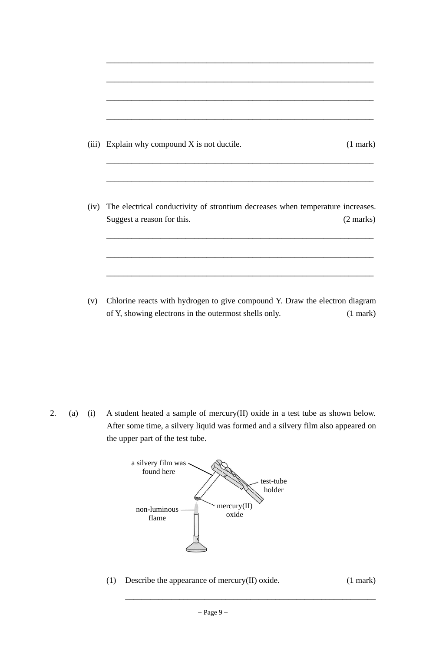| (iii) Explain why compound X is not ductile.                                        | $(1$ mark $)$       |
|-------------------------------------------------------------------------------------|---------------------|
|                                                                                     |                     |
|                                                                                     |                     |
| (iv) The electrical conductivity of strontium decreases when temperature increases. |                     |
| Suggest a reason for this.                                                          | $(2 \text{ marks})$ |
|                                                                                     |                     |

 $\overline{\phantom{a}}$  ,  $\overline{\phantom{a}}$  ,  $\overline{\phantom{a}}$  ,  $\overline{\phantom{a}}$  ,  $\overline{\phantom{a}}$  ,  $\overline{\phantom{a}}$  ,  $\overline{\phantom{a}}$  ,  $\overline{\phantom{a}}$  ,  $\overline{\phantom{a}}$  ,  $\overline{\phantom{a}}$  ,  $\overline{\phantom{a}}$  ,  $\overline{\phantom{a}}$  ,  $\overline{\phantom{a}}$  ,  $\overline{\phantom{a}}$  ,  $\overline{\phantom{a}}$  ,  $\overline{\phantom{a}}$ 

 (v) Chlorine reacts with hydrogen to give compound Y. Draw the electron diagram of Y, showing electrons in the outermost shells only. (1 mark)

2. (a) (i) A student heated a sample of mercury(II) oxide in a test tube as shown below. After some time, a silvery liquid was formed and a silvery film also appeared on the upper part of the test tube.



(1) Describe the appearance of mercury(II) oxide. (1 mark)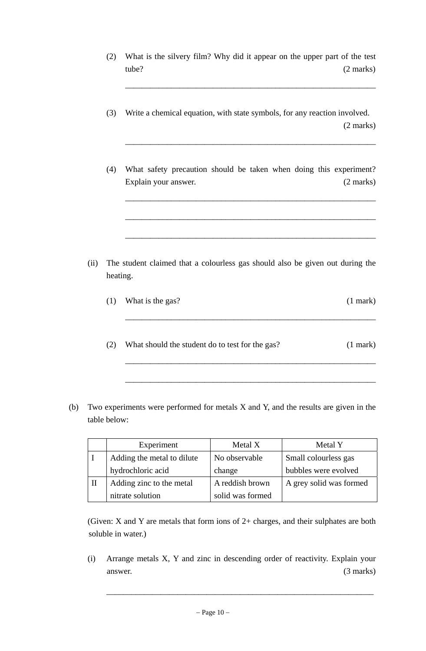(2) What is the silvery film? Why did it appear on the upper part of the test tube? (2 marks)

 $\overline{\phantom{a}}$  ,  $\overline{\phantom{a}}$  ,  $\overline{\phantom{a}}$  ,  $\overline{\phantom{a}}$  ,  $\overline{\phantom{a}}$  ,  $\overline{\phantom{a}}$  ,  $\overline{\phantom{a}}$  ,  $\overline{\phantom{a}}$  ,  $\overline{\phantom{a}}$  ,  $\overline{\phantom{a}}$  ,  $\overline{\phantom{a}}$  ,  $\overline{\phantom{a}}$  ,  $\overline{\phantom{a}}$  ,  $\overline{\phantom{a}}$  ,  $\overline{\phantom{a}}$  ,  $\overline{\phantom{a}}$ 

 $\overline{\phantom{a}}$  ,  $\overline{\phantom{a}}$  ,  $\overline{\phantom{a}}$  ,  $\overline{\phantom{a}}$  ,  $\overline{\phantom{a}}$  ,  $\overline{\phantom{a}}$  ,  $\overline{\phantom{a}}$  ,  $\overline{\phantom{a}}$  ,  $\overline{\phantom{a}}$  ,  $\overline{\phantom{a}}$  ,  $\overline{\phantom{a}}$  ,  $\overline{\phantom{a}}$  ,  $\overline{\phantom{a}}$  ,  $\overline{\phantom{a}}$  ,  $\overline{\phantom{a}}$  ,  $\overline{\phantom{a}}$ 

 $\overline{\phantom{a}}$  ,  $\overline{\phantom{a}}$  ,  $\overline{\phantom{a}}$  ,  $\overline{\phantom{a}}$  ,  $\overline{\phantom{a}}$  ,  $\overline{\phantom{a}}$  ,  $\overline{\phantom{a}}$  ,  $\overline{\phantom{a}}$  ,  $\overline{\phantom{a}}$  ,  $\overline{\phantom{a}}$  ,  $\overline{\phantom{a}}$  ,  $\overline{\phantom{a}}$  ,  $\overline{\phantom{a}}$  ,  $\overline{\phantom{a}}$  ,  $\overline{\phantom{a}}$  ,  $\overline{\phantom{a}}$ 

 $\overline{\phantom{a}}$  ,  $\overline{\phantom{a}}$  ,  $\overline{\phantom{a}}$  ,  $\overline{\phantom{a}}$  ,  $\overline{\phantom{a}}$  ,  $\overline{\phantom{a}}$  ,  $\overline{\phantom{a}}$  ,  $\overline{\phantom{a}}$  ,  $\overline{\phantom{a}}$  ,  $\overline{\phantom{a}}$  ,  $\overline{\phantom{a}}$  ,  $\overline{\phantom{a}}$  ,  $\overline{\phantom{a}}$  ,  $\overline{\phantom{a}}$  ,  $\overline{\phantom{a}}$  ,  $\overline{\phantom{a}}$ 

 $\overline{\phantom{a}}$  ,  $\overline{\phantom{a}}$  ,  $\overline{\phantom{a}}$  ,  $\overline{\phantom{a}}$  ,  $\overline{\phantom{a}}$  ,  $\overline{\phantom{a}}$  ,  $\overline{\phantom{a}}$  ,  $\overline{\phantom{a}}$  ,  $\overline{\phantom{a}}$  ,  $\overline{\phantom{a}}$  ,  $\overline{\phantom{a}}$  ,  $\overline{\phantom{a}}$  ,  $\overline{\phantom{a}}$  ,  $\overline{\phantom{a}}$  ,  $\overline{\phantom{a}}$  ,  $\overline{\phantom{a}}$ 

 $\overline{\phantom{a}}$  ,  $\overline{\phantom{a}}$  ,  $\overline{\phantom{a}}$  ,  $\overline{\phantom{a}}$  ,  $\overline{\phantom{a}}$  ,  $\overline{\phantom{a}}$  ,  $\overline{\phantom{a}}$  ,  $\overline{\phantom{a}}$  ,  $\overline{\phantom{a}}$  ,  $\overline{\phantom{a}}$  ,  $\overline{\phantom{a}}$  ,  $\overline{\phantom{a}}$  ,  $\overline{\phantom{a}}$  ,  $\overline{\phantom{a}}$  ,  $\overline{\phantom{a}}$  ,  $\overline{\phantom{a}}$ 

 $\overline{\phantom{a}}$  ,  $\overline{\phantom{a}}$  ,  $\overline{\phantom{a}}$  ,  $\overline{\phantom{a}}$  ,  $\overline{\phantom{a}}$  ,  $\overline{\phantom{a}}$  ,  $\overline{\phantom{a}}$  ,  $\overline{\phantom{a}}$  ,  $\overline{\phantom{a}}$  ,  $\overline{\phantom{a}}$  ,  $\overline{\phantom{a}}$  ,  $\overline{\phantom{a}}$  ,  $\overline{\phantom{a}}$  ,  $\overline{\phantom{a}}$  ,  $\overline{\phantom{a}}$  ,  $\overline{\phantom{a}}$ 

 $\overline{\phantom{a}}$  ,  $\overline{\phantom{a}}$  ,  $\overline{\phantom{a}}$  ,  $\overline{\phantom{a}}$  ,  $\overline{\phantom{a}}$  ,  $\overline{\phantom{a}}$  ,  $\overline{\phantom{a}}$  ,  $\overline{\phantom{a}}$  ,  $\overline{\phantom{a}}$  ,  $\overline{\phantom{a}}$  ,  $\overline{\phantom{a}}$  ,  $\overline{\phantom{a}}$  ,  $\overline{\phantom{a}}$  ,  $\overline{\phantom{a}}$  ,  $\overline{\phantom{a}}$  ,  $\overline{\phantom{a}}$ 

- (3) Write a chemical equation, with state symbols, for any reaction involved. (2 marks)
- (4) What safety precaution should be taken when doing this experiment? Explain your answer. (2 marks)

- (ii) The student claimed that a colourless gas should also be given out during the heating.
	- (1) What is the gas? (1 mark)
	- (2) What should the student do to test for the gas? (1 mark)
- (b) Two experiments were performed for metals X and Y, and the results are given in the table below:

|              | Experiment                 | Metal X          | Metal Y                 |
|--------------|----------------------------|------------------|-------------------------|
|              | Adding the metal to dilute | No observable    | Small colourless gas    |
|              | hydrochloric acid          | change           | bubbles were evolved    |
| $\mathbf{I}$ | Adding zinc to the metal   | A reddish brown  | A grey solid was formed |
|              | nitrate solution           | solid was formed |                         |

 (Given: X and Y are metals that form ions of 2+ charges, and their sulphates are both soluble in water.)

 (i) Arrange metals X, Y and zinc in descending order of reactivity. Explain your answer. (3 marks)

\_\_\_\_\_\_\_\_\_\_\_\_\_\_\_\_\_\_\_\_\_\_\_\_\_\_\_\_\_\_\_\_\_\_\_\_\_\_\_\_\_\_\_\_\_\_\_\_\_\_\_\_\_\_\_\_\_\_\_\_\_\_\_\_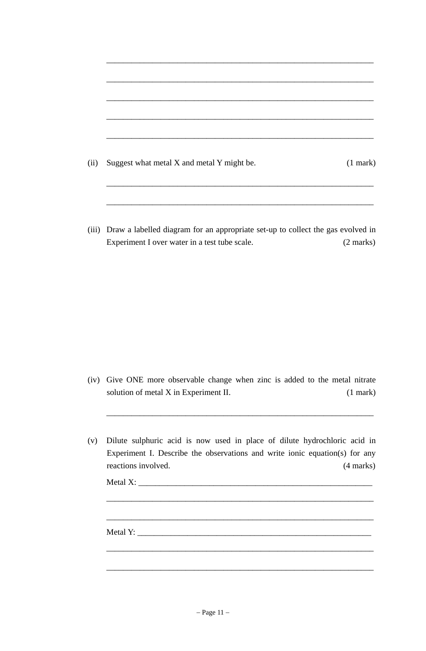$\overline{\phantom{a}}$  ,  $\overline{\phantom{a}}$  ,  $\overline{\phantom{a}}$  ,  $\overline{\phantom{a}}$  ,  $\overline{\phantom{a}}$  ,  $\overline{\phantom{a}}$  ,  $\overline{\phantom{a}}$  ,  $\overline{\phantom{a}}$  ,  $\overline{\phantom{a}}$  ,  $\overline{\phantom{a}}$  ,  $\overline{\phantom{a}}$  ,  $\overline{\phantom{a}}$  ,  $\overline{\phantom{a}}$  ,  $\overline{\phantom{a}}$  ,  $\overline{\phantom{a}}$  ,  $\overline{\phantom{a}}$ 

 (iii) Draw a labelled diagram for an appropriate set-up to collect the gas evolved in Experiment I over water in a test tube scale. (2 marks)

 (iv) Give ONE more observable change when zinc is added to the metal nitrate solution of metal X in Experiment II. (1 mark)

 $\overline{\phantom{a}}$  ,  $\overline{\phantom{a}}$  ,  $\overline{\phantom{a}}$  ,  $\overline{\phantom{a}}$  ,  $\overline{\phantom{a}}$  ,  $\overline{\phantom{a}}$  ,  $\overline{\phantom{a}}$  ,  $\overline{\phantom{a}}$  ,  $\overline{\phantom{a}}$  ,  $\overline{\phantom{a}}$  ,  $\overline{\phantom{a}}$  ,  $\overline{\phantom{a}}$  ,  $\overline{\phantom{a}}$  ,  $\overline{\phantom{a}}$  ,  $\overline{\phantom{a}}$  ,  $\overline{\phantom{a}}$ 

 $\overline{\phantom{a}}$  ,  $\overline{\phantom{a}}$  ,  $\overline{\phantom{a}}$  ,  $\overline{\phantom{a}}$  ,  $\overline{\phantom{a}}$  ,  $\overline{\phantom{a}}$  ,  $\overline{\phantom{a}}$  ,  $\overline{\phantom{a}}$  ,  $\overline{\phantom{a}}$  ,  $\overline{\phantom{a}}$  ,  $\overline{\phantom{a}}$  ,  $\overline{\phantom{a}}$  ,  $\overline{\phantom{a}}$  ,  $\overline{\phantom{a}}$  ,  $\overline{\phantom{a}}$  ,  $\overline{\phantom{a}}$ 

 $\overline{\phantom{a}}$  ,  $\overline{\phantom{a}}$  ,  $\overline{\phantom{a}}$  ,  $\overline{\phantom{a}}$  ,  $\overline{\phantom{a}}$  ,  $\overline{\phantom{a}}$  ,  $\overline{\phantom{a}}$  ,  $\overline{\phantom{a}}$  ,  $\overline{\phantom{a}}$  ,  $\overline{\phantom{a}}$  ,  $\overline{\phantom{a}}$  ,  $\overline{\phantom{a}}$  ,  $\overline{\phantom{a}}$  ,  $\overline{\phantom{a}}$  ,  $\overline{\phantom{a}}$  ,  $\overline{\phantom{a}}$ 

 $\overline{\phantom{a}}$  ,  $\overline{\phantom{a}}$  ,  $\overline{\phantom{a}}$  ,  $\overline{\phantom{a}}$  ,  $\overline{\phantom{a}}$  ,  $\overline{\phantom{a}}$  ,  $\overline{\phantom{a}}$  ,  $\overline{\phantom{a}}$  ,  $\overline{\phantom{a}}$  ,  $\overline{\phantom{a}}$  ,  $\overline{\phantom{a}}$  ,  $\overline{\phantom{a}}$  ,  $\overline{\phantom{a}}$  ,  $\overline{\phantom{a}}$  ,  $\overline{\phantom{a}}$  ,  $\overline{\phantom{a}}$ 

 $\overline{\phantom{a}}$  ,  $\overline{\phantom{a}}$  ,  $\overline{\phantom{a}}$  ,  $\overline{\phantom{a}}$  ,  $\overline{\phantom{a}}$  ,  $\overline{\phantom{a}}$  ,  $\overline{\phantom{a}}$  ,  $\overline{\phantom{a}}$  ,  $\overline{\phantom{a}}$  ,  $\overline{\phantom{a}}$  ,  $\overline{\phantom{a}}$  ,  $\overline{\phantom{a}}$  ,  $\overline{\phantom{a}}$  ,  $\overline{\phantom{a}}$  ,  $\overline{\phantom{a}}$  ,  $\overline{\phantom{a}}$ 

 (v) Dilute sulphuric acid is now used in place of dilute hydrochloric acid in Experiment I. Describe the observations and write ionic equation(s) for any reactions involved. (4 marks)

Metal X: \_\_\_\_\_\_\_\_\_\_\_\_\_\_\_\_\_\_\_\_\_\_\_\_\_\_\_\_\_\_\_\_\_\_\_\_\_\_\_\_\_\_\_\_\_\_\_\_\_\_\_\_\_\_\_\_

Metal Y: \_\_\_\_\_\_\_\_\_\_\_\_\_\_\_\_\_\_\_\_\_\_\_\_\_\_\_\_\_\_\_\_\_\_\_\_\_\_\_\_\_\_\_\_\_\_\_\_\_\_\_\_\_\_\_\_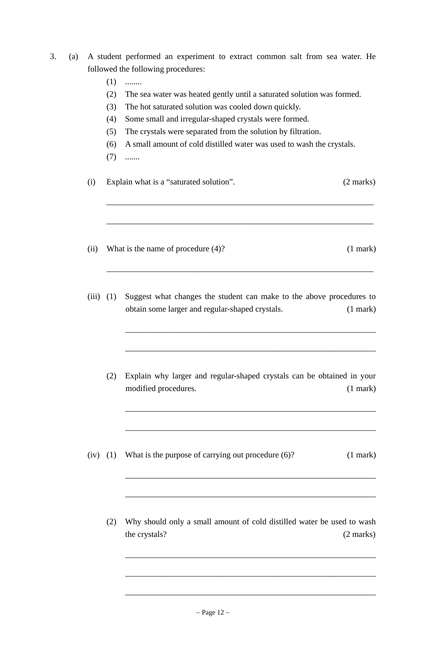- 3. (a) A student performed an experiment to extract common salt from sea water. He followed the following procedures:
	- $(1)$  ........
	- (2) The sea water was heated gently until a saturated solution was formed.
	- (3) The hot saturated solution was cooled down quickly.
	- (4) Some small and irregular-shaped crystals were formed.
	- (5) The crystals were separated from the solution by filtration.

 $\overline{\phantom{a}}$  ,  $\overline{\phantom{a}}$  ,  $\overline{\phantom{a}}$  ,  $\overline{\phantom{a}}$  ,  $\overline{\phantom{a}}$  ,  $\overline{\phantom{a}}$  ,  $\overline{\phantom{a}}$  ,  $\overline{\phantom{a}}$  ,  $\overline{\phantom{a}}$  ,  $\overline{\phantom{a}}$  ,  $\overline{\phantom{a}}$  ,  $\overline{\phantom{a}}$  ,  $\overline{\phantom{a}}$  ,  $\overline{\phantom{a}}$  ,  $\overline{\phantom{a}}$  ,  $\overline{\phantom{a}}$ 

 $\overline{\phantom{a}}$  ,  $\overline{\phantom{a}}$  ,  $\overline{\phantom{a}}$  ,  $\overline{\phantom{a}}$  ,  $\overline{\phantom{a}}$  ,  $\overline{\phantom{a}}$  ,  $\overline{\phantom{a}}$  ,  $\overline{\phantom{a}}$  ,  $\overline{\phantom{a}}$  ,  $\overline{\phantom{a}}$  ,  $\overline{\phantom{a}}$  ,  $\overline{\phantom{a}}$  ,  $\overline{\phantom{a}}$  ,  $\overline{\phantom{a}}$  ,  $\overline{\phantom{a}}$  ,  $\overline{\phantom{a}}$ 

 $\overline{\phantom{a}}$  ,  $\overline{\phantom{a}}$  ,  $\overline{\phantom{a}}$  ,  $\overline{\phantom{a}}$  ,  $\overline{\phantom{a}}$  ,  $\overline{\phantom{a}}$  ,  $\overline{\phantom{a}}$  ,  $\overline{\phantom{a}}$  ,  $\overline{\phantom{a}}$  ,  $\overline{\phantom{a}}$  ,  $\overline{\phantom{a}}$  ,  $\overline{\phantom{a}}$  ,  $\overline{\phantom{a}}$  ,  $\overline{\phantom{a}}$  ,  $\overline{\phantom{a}}$  ,  $\overline{\phantom{a}}$ 

 $\overline{\phantom{a}}$  ,  $\overline{\phantom{a}}$  ,  $\overline{\phantom{a}}$  ,  $\overline{\phantom{a}}$  ,  $\overline{\phantom{a}}$  ,  $\overline{\phantom{a}}$  ,  $\overline{\phantom{a}}$  ,  $\overline{\phantom{a}}$  ,  $\overline{\phantom{a}}$  ,  $\overline{\phantom{a}}$  ,  $\overline{\phantom{a}}$  ,  $\overline{\phantom{a}}$  ,  $\overline{\phantom{a}}$  ,  $\overline{\phantom{a}}$  ,  $\overline{\phantom{a}}$  ,  $\overline{\phantom{a}}$ 

 $\overline{\phantom{a}}$  ,  $\overline{\phantom{a}}$  ,  $\overline{\phantom{a}}$  ,  $\overline{\phantom{a}}$  ,  $\overline{\phantom{a}}$  ,  $\overline{\phantom{a}}$  ,  $\overline{\phantom{a}}$  ,  $\overline{\phantom{a}}$  ,  $\overline{\phantom{a}}$  ,  $\overline{\phantom{a}}$  ,  $\overline{\phantom{a}}$  ,  $\overline{\phantom{a}}$  ,  $\overline{\phantom{a}}$  ,  $\overline{\phantom{a}}$  ,  $\overline{\phantom{a}}$  ,  $\overline{\phantom{a}}$ 

 $\overline{\phantom{a}}$  ,  $\overline{\phantom{a}}$  ,  $\overline{\phantom{a}}$  ,  $\overline{\phantom{a}}$  ,  $\overline{\phantom{a}}$  ,  $\overline{\phantom{a}}$  ,  $\overline{\phantom{a}}$  ,  $\overline{\phantom{a}}$  ,  $\overline{\phantom{a}}$  ,  $\overline{\phantom{a}}$  ,  $\overline{\phantom{a}}$  ,  $\overline{\phantom{a}}$  ,  $\overline{\phantom{a}}$  ,  $\overline{\phantom{a}}$  ,  $\overline{\phantom{a}}$  ,  $\overline{\phantom{a}}$ 

 $\overline{\phantom{a}}$  ,  $\overline{\phantom{a}}$  ,  $\overline{\phantom{a}}$  ,  $\overline{\phantom{a}}$  ,  $\overline{\phantom{a}}$  ,  $\overline{\phantom{a}}$  ,  $\overline{\phantom{a}}$  ,  $\overline{\phantom{a}}$  ,  $\overline{\phantom{a}}$  ,  $\overline{\phantom{a}}$  ,  $\overline{\phantom{a}}$  ,  $\overline{\phantom{a}}$  ,  $\overline{\phantom{a}}$  ,  $\overline{\phantom{a}}$  ,  $\overline{\phantom{a}}$  ,  $\overline{\phantom{a}}$ 

 $\overline{\phantom{a}}$  ,  $\overline{\phantom{a}}$  ,  $\overline{\phantom{a}}$  ,  $\overline{\phantom{a}}$  ,  $\overline{\phantom{a}}$  ,  $\overline{\phantom{a}}$  ,  $\overline{\phantom{a}}$  ,  $\overline{\phantom{a}}$  ,  $\overline{\phantom{a}}$  ,  $\overline{\phantom{a}}$  ,  $\overline{\phantom{a}}$  ,  $\overline{\phantom{a}}$  ,  $\overline{\phantom{a}}$  ,  $\overline{\phantom{a}}$  ,  $\overline{\phantom{a}}$  ,  $\overline{\phantom{a}}$ 

 $\overline{\phantom{a}}$  ,  $\overline{\phantom{a}}$  ,  $\overline{\phantom{a}}$  ,  $\overline{\phantom{a}}$  ,  $\overline{\phantom{a}}$  ,  $\overline{\phantom{a}}$  ,  $\overline{\phantom{a}}$  ,  $\overline{\phantom{a}}$  ,  $\overline{\phantom{a}}$  ,  $\overline{\phantom{a}}$  ,  $\overline{\phantom{a}}$  ,  $\overline{\phantom{a}}$  ,  $\overline{\phantom{a}}$  ,  $\overline{\phantom{a}}$  ,  $\overline{\phantom{a}}$  ,  $\overline{\phantom{a}}$ 

 $\overline{\phantom{a}}$  ,  $\overline{\phantom{a}}$  ,  $\overline{\phantom{a}}$  ,  $\overline{\phantom{a}}$  ,  $\overline{\phantom{a}}$  ,  $\overline{\phantom{a}}$  ,  $\overline{\phantom{a}}$  ,  $\overline{\phantom{a}}$  ,  $\overline{\phantom{a}}$  ,  $\overline{\phantom{a}}$  ,  $\overline{\phantom{a}}$  ,  $\overline{\phantom{a}}$  ,  $\overline{\phantom{a}}$  ,  $\overline{\phantom{a}}$  ,  $\overline{\phantom{a}}$  ,  $\overline{\phantom{a}}$ 

 $\overline{\phantom{a}}$  ,  $\overline{\phantom{a}}$  ,  $\overline{\phantom{a}}$  ,  $\overline{\phantom{a}}$  ,  $\overline{\phantom{a}}$  ,  $\overline{\phantom{a}}$  ,  $\overline{\phantom{a}}$  ,  $\overline{\phantom{a}}$  ,  $\overline{\phantom{a}}$  ,  $\overline{\phantom{a}}$  ,  $\overline{\phantom{a}}$  ,  $\overline{\phantom{a}}$  ,  $\overline{\phantom{a}}$  ,  $\overline{\phantom{a}}$  ,  $\overline{\phantom{a}}$  ,  $\overline{\phantom{a}}$ 

- (6) A small amount of cold distilled water was used to wash the crystals.
- $(7)$  .......
- (i) Explain what is a "saturated solution". (2 marks)
- (ii) What is the name of procedure (4)? (1 mark)
- (iii) (1) Suggest what changes the student can make to the above procedures to obtain some larger and regular-shaped crystals. (1 mark)
	- (2) Explain why larger and regular-shaped crystals can be obtained in your modified procedures. (1 mark)
- (iv) (1) What is the purpose of carrying out procedure  $(6)$ ? (1 mark)
	- (2) Why should only a small amount of cold distilled water be used to wash the crystals? (2 marks)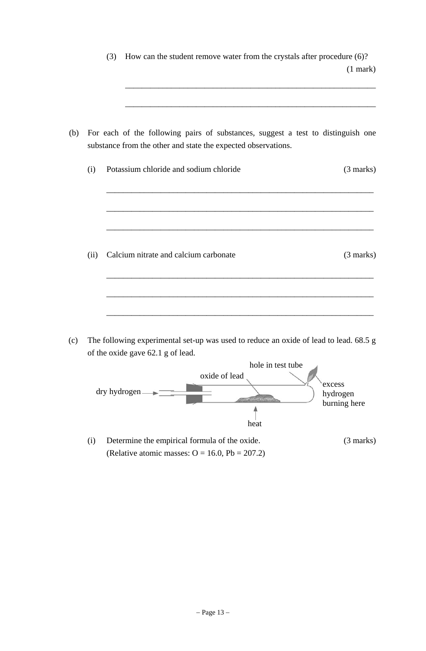|     |      | How can the student remove water from the crystals after procedure (6)?<br>(3)                                                                    |  |
|-----|------|---------------------------------------------------------------------------------------------------------------------------------------------------|--|
|     |      | $(1$ mark $)$                                                                                                                                     |  |
|     |      |                                                                                                                                                   |  |
| (b) |      | For each of the following pairs of substances, suggest a test to distinguish one<br>substance from the other and state the expected observations. |  |
|     | (i)  | Potassium chloride and sodium chloride<br>$(3 \text{ marks})$                                                                                     |  |
|     |      |                                                                                                                                                   |  |
|     |      |                                                                                                                                                   |  |
|     |      |                                                                                                                                                   |  |
|     | (ii) | Calcium nitrate and calcium carbonate<br>$(3 \text{ marks})$                                                                                      |  |
|     |      |                                                                                                                                                   |  |
|     |      |                                                                                                                                                   |  |
|     |      |                                                                                                                                                   |  |

 (c) The following experimental set-up was used to reduce an oxide of lead to lead. 68.5 g of the oxide gave 62.1 g of lead.



 (i) Determine the empirical formula of the oxide. (3 marks) (Relative atomic masses:  $O = 16.0$ ,  $Pb = 207.2$ )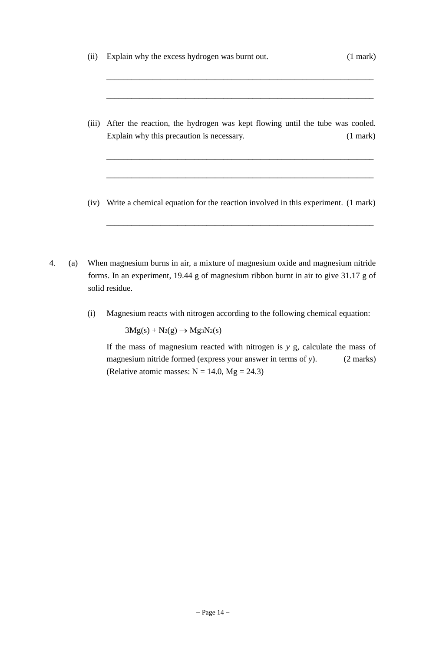(ii) Explain why the excess hydrogen was burnt out. (1 mark)

 $\overline{\phantom{a}}$  ,  $\overline{\phantom{a}}$  ,  $\overline{\phantom{a}}$  ,  $\overline{\phantom{a}}$  ,  $\overline{\phantom{a}}$  ,  $\overline{\phantom{a}}$  ,  $\overline{\phantom{a}}$  ,  $\overline{\phantom{a}}$  ,  $\overline{\phantom{a}}$  ,  $\overline{\phantom{a}}$  ,  $\overline{\phantom{a}}$  ,  $\overline{\phantom{a}}$  ,  $\overline{\phantom{a}}$  ,  $\overline{\phantom{a}}$  ,  $\overline{\phantom{a}}$  ,  $\overline{\phantom{a}}$ 

 $\overline{\phantom{a}}$  ,  $\overline{\phantom{a}}$  ,  $\overline{\phantom{a}}$  ,  $\overline{\phantom{a}}$  ,  $\overline{\phantom{a}}$  ,  $\overline{\phantom{a}}$  ,  $\overline{\phantom{a}}$  ,  $\overline{\phantom{a}}$  ,  $\overline{\phantom{a}}$  ,  $\overline{\phantom{a}}$  ,  $\overline{\phantom{a}}$  ,  $\overline{\phantom{a}}$  ,  $\overline{\phantom{a}}$  ,  $\overline{\phantom{a}}$  ,  $\overline{\phantom{a}}$  ,  $\overline{\phantom{a}}$ 

 $\overline{\phantom{a}}$  ,  $\overline{\phantom{a}}$  ,  $\overline{\phantom{a}}$  ,  $\overline{\phantom{a}}$  ,  $\overline{\phantom{a}}$  ,  $\overline{\phantom{a}}$  ,  $\overline{\phantom{a}}$  ,  $\overline{\phantom{a}}$  ,  $\overline{\phantom{a}}$  ,  $\overline{\phantom{a}}$  ,  $\overline{\phantom{a}}$  ,  $\overline{\phantom{a}}$  ,  $\overline{\phantom{a}}$  ,  $\overline{\phantom{a}}$  ,  $\overline{\phantom{a}}$  ,  $\overline{\phantom{a}}$ 

 $\overline{\phantom{a}}$  ,  $\overline{\phantom{a}}$  ,  $\overline{\phantom{a}}$  ,  $\overline{\phantom{a}}$  ,  $\overline{\phantom{a}}$  ,  $\overline{\phantom{a}}$  ,  $\overline{\phantom{a}}$  ,  $\overline{\phantom{a}}$  ,  $\overline{\phantom{a}}$  ,  $\overline{\phantom{a}}$  ,  $\overline{\phantom{a}}$  ,  $\overline{\phantom{a}}$  ,  $\overline{\phantom{a}}$  ,  $\overline{\phantom{a}}$  ,  $\overline{\phantom{a}}$  ,  $\overline{\phantom{a}}$ 

 $\overline{\phantom{a}}$  ,  $\overline{\phantom{a}}$  ,  $\overline{\phantom{a}}$  ,  $\overline{\phantom{a}}$  ,  $\overline{\phantom{a}}$  ,  $\overline{\phantom{a}}$  ,  $\overline{\phantom{a}}$  ,  $\overline{\phantom{a}}$  ,  $\overline{\phantom{a}}$  ,  $\overline{\phantom{a}}$  ,  $\overline{\phantom{a}}$  ,  $\overline{\phantom{a}}$  ,  $\overline{\phantom{a}}$  ,  $\overline{\phantom{a}}$  ,  $\overline{\phantom{a}}$  ,  $\overline{\phantom{a}}$ 

- (iii) After the reaction, the hydrogen was kept flowing until the tube was cooled. Explain why this precaution is necessary. (1 mark)
- (iv) Write a chemical equation for the reaction involved in this experiment. (1 mark)
- 4. (a) When magnesium burns in air, a mixture of magnesium oxide and magnesium nitride forms. In an experiment, 19.44 g of magnesium ribbon burnt in air to give 31.17 g of solid residue.
	- (i) Magnesium reacts with nitrogen according to the following chemical equation:

 $3Mg(s) + N_2(g) \rightarrow Mg_3N_2(s)$ 

 If the mass of magnesium reacted with nitrogen is *y* g, calculate the mass of magnesium nitride formed (express your answer in terms of *y*). (2 marks) (Relative atomic masses:  $N = 14.0$ ,  $Mg = 24.3$ )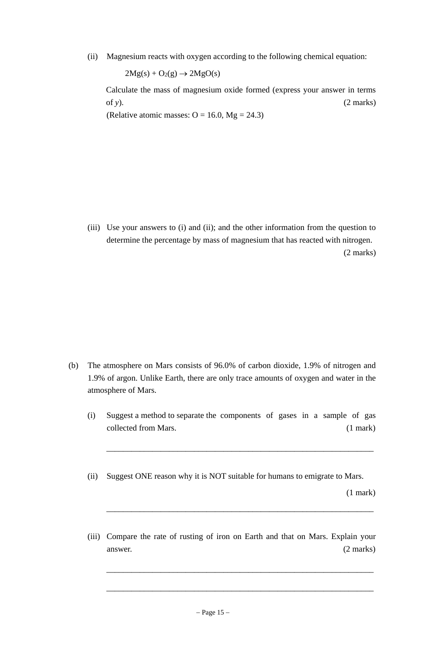(ii) Magnesium reacts with oxygen according to the following chemical equation:

 $2Mg(s) + O_2(g) \rightarrow 2MgO(s)$ 

 Calculate the mass of magnesium oxide formed (express your answer in terms of  $y$ ).  $(2 \text{ marks})$ 

(Relative atomic masses:  $O = 16.0$ , Mg = 24.3)

 (iii) Use your answers to (i) and (ii); and the other information from the question to determine the percentage by mass of magnesium that has reacted with nitrogen. (2 marks)

- (b) The atmosphere on Mars consists of 96.0% of carbon dioxide, 1.9% of nitrogen and 1.9% of argon. Unlike Earth, there are only trace amounts of oxygen and water in the atmosphere of Mars.
	- (i) Suggest a method to separate the components of gases in a sample of gas collected from Mars. (1 mark)
	- (ii) Suggest ONE reason why it is NOT suitable for humans to emigrate to Mars.

 $\overline{\phantom{a}}$  ,  $\overline{\phantom{a}}$  ,  $\overline{\phantom{a}}$  ,  $\overline{\phantom{a}}$  ,  $\overline{\phantom{a}}$  ,  $\overline{\phantom{a}}$  ,  $\overline{\phantom{a}}$  ,  $\overline{\phantom{a}}$  ,  $\overline{\phantom{a}}$  ,  $\overline{\phantom{a}}$  ,  $\overline{\phantom{a}}$  ,  $\overline{\phantom{a}}$  ,  $\overline{\phantom{a}}$  ,  $\overline{\phantom{a}}$  ,  $\overline{\phantom{a}}$  ,  $\overline{\phantom{a}}$ 

 $\overline{\phantom{a}}$  ,  $\overline{\phantom{a}}$  ,  $\overline{\phantom{a}}$  ,  $\overline{\phantom{a}}$  ,  $\overline{\phantom{a}}$  ,  $\overline{\phantom{a}}$  ,  $\overline{\phantom{a}}$  ,  $\overline{\phantom{a}}$  ,  $\overline{\phantom{a}}$  ,  $\overline{\phantom{a}}$  ,  $\overline{\phantom{a}}$  ,  $\overline{\phantom{a}}$  ,  $\overline{\phantom{a}}$  ,  $\overline{\phantom{a}}$  ,  $\overline{\phantom{a}}$  ,  $\overline{\phantom{a}}$ 

(1 mark)

 (iii) Compare the rate of rusting of iron on Earth and that on Mars. Explain your answer. (2 marks)

 $\overline{\phantom{a}}$  ,  $\overline{\phantom{a}}$  ,  $\overline{\phantom{a}}$  ,  $\overline{\phantom{a}}$  ,  $\overline{\phantom{a}}$  ,  $\overline{\phantom{a}}$  ,  $\overline{\phantom{a}}$  ,  $\overline{\phantom{a}}$  ,  $\overline{\phantom{a}}$  ,  $\overline{\phantom{a}}$  ,  $\overline{\phantom{a}}$  ,  $\overline{\phantom{a}}$  ,  $\overline{\phantom{a}}$  ,  $\overline{\phantom{a}}$  ,  $\overline{\phantom{a}}$  ,  $\overline{\phantom{a}}$